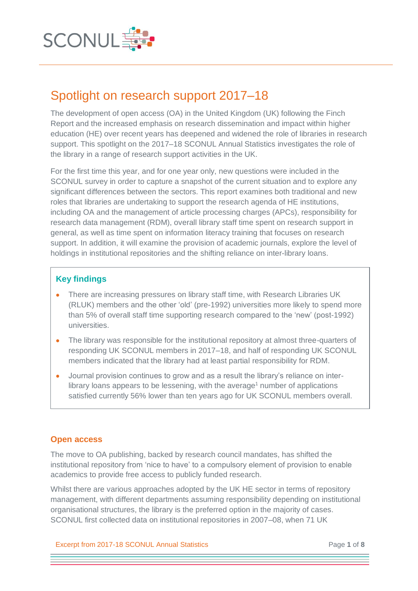

# Spotlight on research support 2017–18

The development of open access (OA) in the United Kingdom (UK) following the Finch Report and the increased emphasis on research dissemination and impact within higher education (HE) over recent years has deepened and widened the role of libraries in research support. This spotlight on the 2017–18 SCONUL Annual Statistics investigates the role of the library in a range of research support activities in the UK.

For the first time this year, and for one year only, new questions were included in the SCONUL survey in order to capture a snapshot of the current situation and to explore any significant differences between the sectors. This report examines both traditional and new roles that libraries are undertaking to support the research agenda of HE institutions, including OA and the management of article processing charges (APCs), responsibility for research data management (RDM), overall library staff time spent on research support in general, as well as time spent on information literacy training that focuses on research support. In addition, it will examine the provision of academic journals, explore the level of holdings in institutional repositories and the shifting reliance on inter-library loans.

## **Key findings**

- There are increasing pressures on library staff time, with Research Libraries UK (RLUK) members and the other 'old' (pre-1992) universities more likely to spend more than 5% of overall staff time supporting research compared to the 'new' (post-1992) universities.
- The library was responsible for the institutional repository at almost three-quarters of responding UK SCONUL members in 2017–18, and half of responding UK SCONUL members indicated that the library had at least partial responsibility for RDM.
- Journal provision continues to grow and as a result the library's reliance on interlibrary loans appears to be lessening, with the average<sup>1</sup> number of applications satisfied currently 56% lower than ten years ago for UK SCONUL members overall.

## **Open access**

The move to OA publishing, backed by research council mandates, has shifted the institutional repository from 'nice to have' to a compulsory element of provision to enable academics to provide free access to publicly funded research.

Whilst there are various approaches adopted by the UK HE sector in terms of repository management, with different departments assuming responsibility depending on institutional organisational structures, the library is the preferred option in the majority of cases. SCONUL first collected data on institutional repositories in 2007–08, when 71 UK

Excerpt from 2017-18 SCONUL Annual Statistics Page **1** of **8**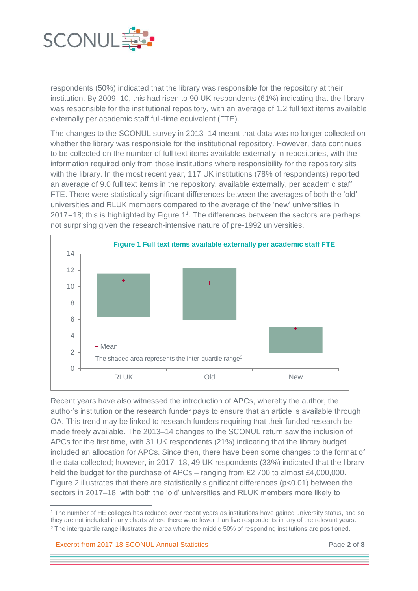

respondents (50%) indicated that the library was responsible for the repository at their institution. By 2009–10, this had risen to 90 UK respondents (61%) indicating that the library was responsible for the institutional repository, with an average of 1.2 full text items available externally per academic staff full-time equivalent (FTE).

The changes to the SCONUL survey in 2013–14 meant that data was no longer collected on whether the library was responsible for the institutional repository. However, data continues to be collected on the number of full text items available externally in repositories, with the information required only from those institutions where responsibility for the repository sits with the library. In the most recent year, 117 UK institutions (78% of respondents) reported an average of 9.0 full text items in the repository, available externally, per academic staff FTE. There were statistically significant differences between the averages of both the 'old' universities and RLUK members compared to the average of the 'new' universities in 2017-18; this is highlighted by Figure 1 1 . The differences between the sectors are perhaps not surprising given the research-intensive nature of pre-1992 universities.



Recent years have also witnessed the introduction of APCs, whereby the author, the author's institution or the research funder pays to ensure that an article is available through OA. This trend may be linked to research funders requiring that their funded research be made freely available. The 2013–14 changes to the SCONUL return saw the inclusion of APCs for the first time, with 31 UK respondents (21%) indicating that the library budget included an allocation for APCs. Since then, there have been some changes to the format of the data collected; however, in 2017–18, 49 UK respondents (33%) indicated that the library held the budget for the purchase of APCs – ranging from £2,700 to almost £4,000,000. Figure 2 illustrates that there are statistically significant differences ( $p<0.01$ ) between the sectors in 2017–18, with both the 'old' universities and RLUK members more likely to

Excerpt from 2017-18 SCONUL Annual Statistics Page **2** of **8**

j

<sup>1</sup> The number of HE colleges has reduced over recent years as institutions have gained university status, and so they are not included in any charts where there were fewer than five respondents in any of the relevant years. <sup>2</sup> The interquartile range illustrates the area where the middle 50% of responding institutions are positioned.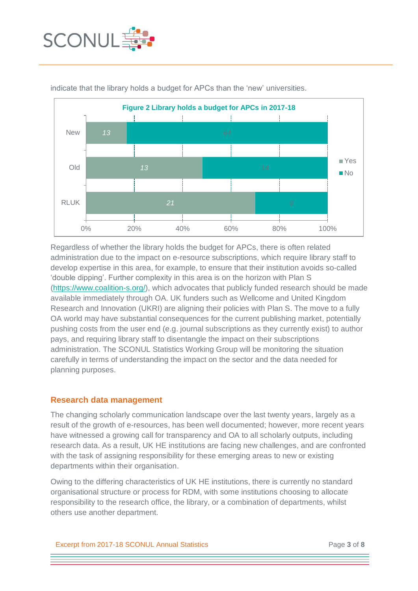



indicate that the library holds a budget for APCs than the 'new' universities.

Regardless of whether the library holds the budget for APCs, there is often related administration due to the impact on e-resource subscriptions, which require library staff to develop expertise in this area, for example, to ensure that their institution avoids so-called 'double dipping'. Further complexity in this area is on the horizon with Plan S [\(https://www.coalition-s.org/\)](https://www.coalition-s.org/), which advocates that publicly funded research should be made available immediately through OA. UK funders such as Wellcome and United Kingdom Research and Innovation (UKRI) are aligning their policies with Plan S. The move to a fully OA world may have substantial consequences for the current publishing market, potentially pushing costs from the user end (e.g. journal subscriptions as they currently exist) to author pays, and requiring library staff to disentangle the impact on their subscriptions administration. The SCONUL Statistics Working Group will be monitoring the situation carefully in terms of understanding the impact on the sector and the data needed for planning purposes.

#### **Research data management**

The changing scholarly communication landscape over the last twenty years, largely as a result of the growth of e-resources, has been well documented; however, more recent years have witnessed a growing call for transparency and OA to all scholarly outputs, including research data. As a result, UK HE institutions are facing new challenges, and are confronted with the task of assigning responsibility for these emerging areas to new or existing departments within their organisation.

Owing to the differing characteristics of UK HE institutions, there is currently no standard organisational structure or process for RDM, with some institutions choosing to allocate responsibility to the research office, the library, or a combination of departments, whilst others use another department.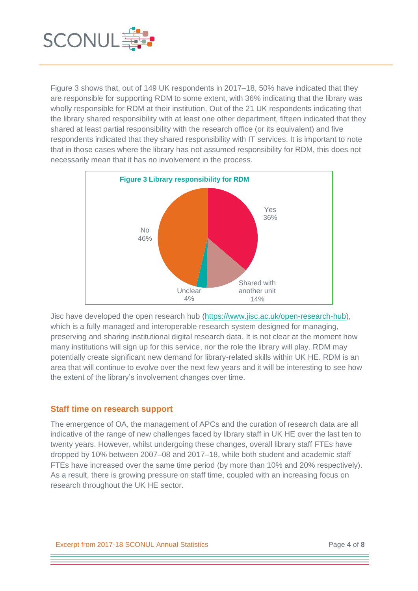

Figure 3 shows that, out of 149 UK respondents in 2017–18, 50% have indicated that they are responsible for supporting RDM to some extent, with 36% indicating that the library was wholly responsible for RDM at their institution. Out of the 21 UK respondents indicating that the library shared responsibility with at least one other department, fifteen indicated that they shared at least partial responsibility with the research office (or its equivalent) and five respondents indicated that they shared responsibility with IT services. It is important to note that in those cases where the library has not assumed responsibility for RDM, this does not necessarily mean that it has no involvement in the process.



Jisc have developed the open research hub [\(https://www.jisc.ac.uk/open-research-hub\)](https://www.jisc.ac.uk/open-research-hub), which is a fully managed and interoperable research system designed for managing, preserving and sharing institutional digital research data. It is not clear at the moment how many institutions will sign up for this service, nor the role the library will play. RDM may potentially create significant new demand for library-related skills within UK HE. RDM is an area that will continue to evolve over the next few years and it will be interesting to see how the extent of the library's involvement changes over time.

## **Staff time on research support**

The emergence of OA, the management of APCs and the curation of research data are all indicative of the range of new challenges faced by library staff in UK HE over the last ten to twenty years. However, whilst undergoing these changes, overall library staff FTEs have dropped by 10% between 2007–08 and 2017–18, while both student and academic staff FTEs have increased over the same time period (by more than 10% and 20% respectively). As a result, there is growing pressure on staff time, coupled with an increasing focus on research throughout the UK HE sector.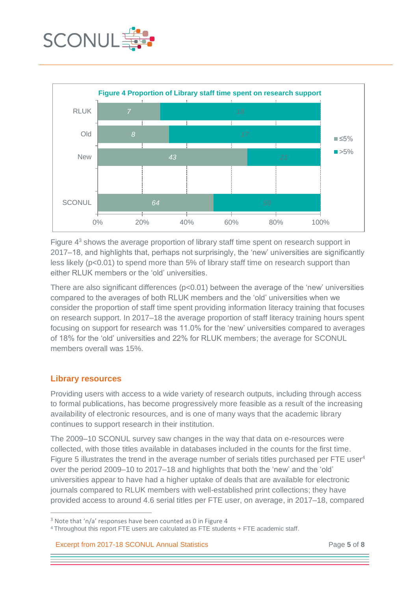



Figure 4<sup>3</sup> shows the average proportion of library staff time spent on research support in 2017–18, and highlights that, perhaps not surprisingly, the 'new' universities are significantly less likely (p<0.01) to spend more than 5% of library staff time on research support than either RLUK members or the 'old' universities.

There are also significant differences (p<0.01) between the average of the 'new' universities compared to the averages of both RLUK members and the 'old' universities when we consider the proportion of staff time spent providing information literacy training that focuses on research support. In 2017–18 the average proportion of staff literacy training hours spent focusing on support for research was 11.0% for the 'new' universities compared to averages of 18% for the 'old' universities and 22% for RLUK members; the average for SCONUL members overall was 15%.

## **Library resources**

1

Providing users with access to a wide variety of research outputs, including through access to formal publications, has become progressively more feasible as a result of the increasing availability of electronic resources, and is one of many ways that the academic library continues to support research in their institution.

The 2009–10 SCONUL survey saw changes in the way that data on e-resources were collected, with those titles available in databases included in the counts for the first time. Figure 5 illustrates the trend in the average number of serials titles purchased per FTE user<sup>4</sup> over the period 2009–10 to 2017–18 and highlights that both the 'new' and the 'old' universities appear to have had a higher uptake of deals that are available for electronic journals compared to RLUK members with well-established print collections; they have provided access to around 4.6 serial titles per FTE user, on average, in 2017–18, compared

Excerpt from 2017-18 SCONUL Annual Statistics Page **5** of **8**

<sup>&</sup>lt;sup>3</sup> Note that 'n/a' responses have been counted as 0 in Figure 4

<sup>4</sup> Throughout this report FTE users are calculated as FTE students + FTE academic staff.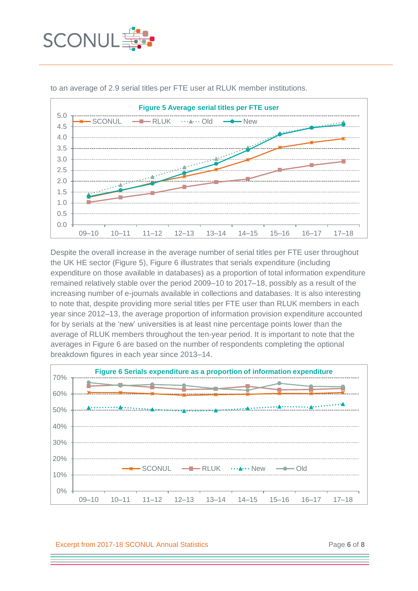



to an average of 2.9 serial titles per FTE user at RLUK member institutions.

Despite the overall increase in the average number of serial titles per FTE user throughout the UK HE sector (Figure 5), Figure 6 illustrates that serials expenditure (including expenditure on those available in databases) as a proportion of total information expenditure remained relatively stable over the period 2009–10 to 2017–18, possibly as a result of the increasing number of e-journals available in collections and databases. It is also interesting to note that, despite providing more serial titles per FTE user than RLUK members in each year since 2012–13, the average proportion of information provision expenditure accounted for by serials at the 'new' universities is at least nine percentage points lower than the average of RLUK members throughout the ten-year period. It is important to note that the averages in Figure 6 are based on the number of respondents completing the optional breakdown figures in each year since 2013–14.



Excerpt from 2017-18 SCONUL Annual Statistics Page **6** of **8**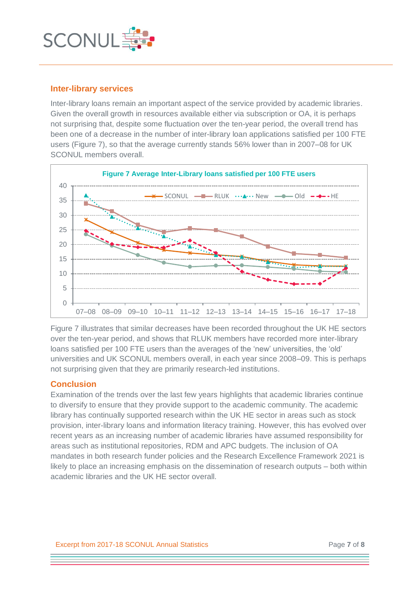

#### **Inter-library services**

Inter-library loans remain an important aspect of the service provided by academic libraries. Given the overall growth in resources available either via subscription or OA, it is perhaps not surprising that, despite some fluctuation over the ten-year period, the overall trend has been one of a decrease in the number of inter-library loan applications satisfied per 100 FTE users (Figure 7), so that the average currently stands 56% lower than in 2007–08 for UK SCONUL members overall.



Figure 7 illustrates that similar decreases have been recorded throughout the UK HE sectors over the ten-year period, and shows that RLUK members have recorded more inter-library loans satisfied per 100 FTE users than the averages of the 'new' universities, the 'old' universities and UK SCONUL members overall, in each year since 2008–09. This is perhaps not surprising given that they are primarily research-led institutions.

## **Conclusion**

Examination of the trends over the last few years highlights that academic libraries continue to diversify to ensure that they provide support to the academic community. The academic library has continually supported research within the UK HE sector in areas such as stock provision, inter-library loans and information literacy training. However, this has evolved over recent years as an increasing number of academic libraries have assumed responsibility for areas such as institutional repositories, RDM and APC budgets. The inclusion of OA mandates in both research funder policies and the Research Excellence Framework 2021 is likely to place an increasing emphasis on the dissemination of research outputs – both within academic libraries and the UK HE sector overall.